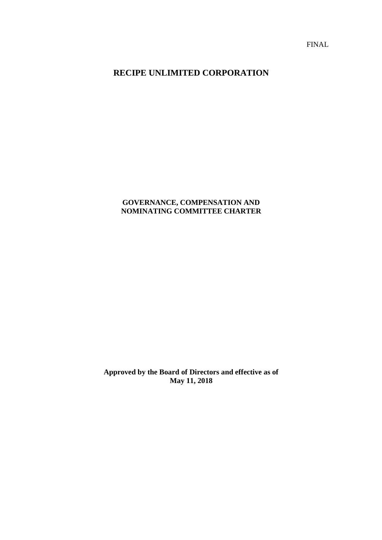FINAL

# **RECIPE UNLIMITED CORPORATION**

# **GOVERNANCE, COMPENSATION AND NOMINATING COMMITTEE CHARTER**

**Approved by the Board of Directors and effective as of May 11, 2018**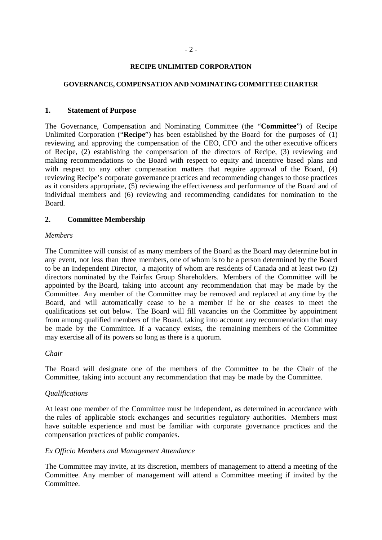# **RECIPE UNLIMITED CORPORATION**

#### **GOVERNANCE, COMPENSATION AND NOMINATING COMMITTEE CHARTER**

#### **1. Statement of Purpose**

The Governance, Compensation and Nominating Committee (the "**Committee**") of Recipe Unlimited Corporation ("**Recipe**") has been established by the Board for the purposes of (1) reviewing and approving the compensation of the CEO, CFO and the other executive officers of Recipe, (2) establishing the compensation of the directors of Recipe, (3) reviewing and making recommendations to the Board with respect to equity and incentive based plans and with respect to any other compensation matters that require approval of the Board, (4) reviewing Recipe's corporate governance practices and recommending changes to those practices as it considers appropriate, (5) reviewing the effectiveness and performance of the Board and of individual members and (6) reviewing and recommending candidates for nomination to the Board.

#### **2. Committee Membership**

#### *Members*

The Committee will consist of as many members of the Board as the Board may determine but in any event, not less than three members, one of whom is to be a person determined by the Board to be an Independent Director, a majority of whom are residents of Canada and at least two (2) directors nominated by the Fairfax Group Shareholders. Members of the Committee will be appointed by the Board, taking into account any recommendation that may be made by the Committee. Any member of the Committee may be removed and replaced at any time by the Board, and will automatically cease to be a member if he or she ceases to meet the qualifications set out below. The Board will fill vacancies on the Committee by appointment from among qualified members of the Board, taking into account any recommendation that may be made by the Committee. If a vacancy exists, the remaining members of the Committee may exercise all of its powers so long as there is a quorum.

#### *Chair*

The Board will designate one of the members of the Committee to be the Chair of the Committee, taking into account any recommendation that may be made by the Committee.

#### *Qualifications*

At least one member of the Committee must be independent, as determined in accordance with the rules of applicable stock exchanges and securities regulatory authorities. Members must have suitable experience and must be familiar with corporate governance practices and the compensation practices of public companies.

#### *Ex Officio Members and Management Attendance*

The Committee may invite, at its discretion, members of management to attend a meeting of the Committee. Any member of management will attend a Committee meeting if invited by the Committee.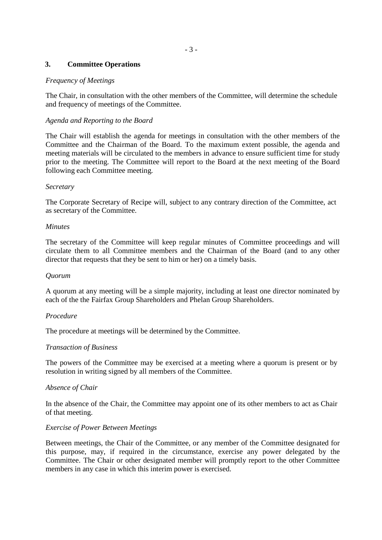# **3. Committee Operations**

# *Frequency of Meetings*

The Chair, in consultation with the other members of the Committee, will determine the schedule and frequency of meetings of the Committee.

# *Agenda and Reporting to the Board*

The Chair will establish the agenda for meetings in consultation with the other members of the Committee and the Chairman of the Board. To the maximum extent possible, the agenda and meeting materials will be circulated to the members in advance to ensure sufficient time for study prior to the meeting. The Committee will report to the Board at the next meeting of the Board following each Committee meeting.

# *Secretary*

The Corporate Secretary of Recipe will, subject to any contrary direction of the Committee, act as secretary of the Committee.

#### *Minutes*

The secretary of the Committee will keep regular minutes of Committee proceedings and will circulate them to all Committee members and the Chairman of the Board (and to any other director that requests that they be sent to him or her) on a timely basis.

#### *Quorum*

A quorum at any meeting will be a simple majority, including at least one director nominated by each of the the Fairfax Group Shareholders and Phelan Group Shareholders.

# *Procedure*

The procedure at meetings will be determined by the Committee.

# *Transaction of Business*

The powers of the Committee may be exercised at a meeting where a quorum is present or by resolution in writing signed by all members of the Committee.

#### *Absence of Chair*

In the absence of the Chair, the Committee may appoint one of its other members to act as Chair of that meeting.

# *Exercise of Power Between Meetings*

Between meetings, the Chair of the Committee, or any member of the Committee designated for this purpose, may, if required in the circumstance, exercise any power delegated by the Committee. The Chair or other designated member will promptly report to the other Committee members in any case in which this interim power is exercised.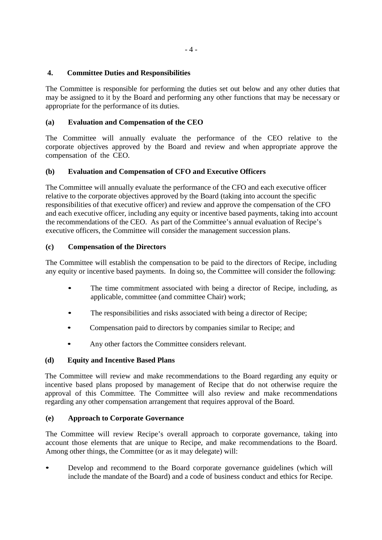# **4. Committee Duties and Responsibilities**

The Committee is responsible for performing the duties set out below and any other duties that may be assigned to it by the Board and performing any other functions that may be necessary or appropriate for the performance of its duties.

# **(a) Evaluation and Compensation of the CEO**

The Committee will annually evaluate the performance of the CEO relative to the corporate objectives approved by the Board and review and when appropriate approve the compensation of the CEO.

# **(b) Evaluation and Compensation of CFO and Executive Officers**

The Committee will annually evaluate the performance of the CFO and each executive officer relative to the corporate objectives approved by the Board (taking into account the specific responsibilities of that executive officer) and review and approve the compensation of the CFO and each executive officer, including any equity or incentive based payments, taking into account the recommendations of the CEO. As part of the Committee's annual evaluation of Recipe's executive officers, the Committee will consider the management succession plans.

# **(c) Compensation of the Directors**

The Committee will establish the compensation to be paid to the directors of Recipe, including any equity or incentive based payments. In doing so, the Committee will consider the following:

- The time commitment associated with being a director of Recipe, including, as applicable, committee (and committee Chair) work;
- The responsibilities and risks associated with being a director of Recipe;
- Compensation paid to directors by companies similar to Recipe; and
- Any other factors the Committee considers relevant.

# **(d) Equity and Incentive Based Plans**

The Committee will review and make recommendations to the Board regarding any equity or incentive based plans proposed by management of Recipe that do not otherwise require the approval of this Committee. The Committee will also review and make recommendations regarding any other compensation arrangement that requires approval of the Board.

# **(e) Approach to Corporate Governance**

The Committee will review Recipe's overall approach to corporate governance, taking into account those elements that are unique to Recipe, and make recommendations to the Board. Among other things, the Committee (or as it may delegate) will:

• Develop and recommend to the Board corporate governance guidelines (which will include the mandate of the Board) and a code of business conduct and ethics for Recipe.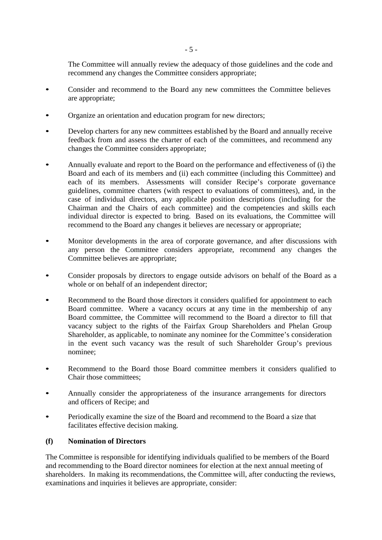The Committee will annually review the adequacy of those guidelines and the code and recommend any changes the Committee considers appropriate;

- Consider and recommend to the Board any new committees the Committee believes are appropriate;
- Organize an orientation and education program for new directors;
- Develop charters for any new committees established by the Board and annually receive feedback from and assess the charter of each of the committees, and recommend any changes the Committee considers appropriate;
- Annually evaluate and report to the Board on the performance and effectiveness of (i) the Board and each of its members and (ii) each committee (including this Committee) and each of its members. Assessments will consider Recipe's corporate governance guidelines, committee charters (with respect to evaluations of committees), and, in the case of individual directors, any applicable position descriptions (including for the Chairman and the Chairs of each committee) and the competencies and skills each individual director is expected to bring. Based on its evaluations, the Committee will recommend to the Board any changes it believes are necessary or appropriate;
- Monitor developments in the area of corporate governance, and after discussions with any person the Committee considers appropriate, recommend any changes the Committee believes are appropriate;
- Consider proposals by directors to engage outside advisors on behalf of the Board as a whole or on behalf of an independent director;
- Recommend to the Board those directors it considers qualified for appointment to each Board committee. Where a vacancy occurs at any time in the membership of any Board committee, the Committee will recommend to the Board a director to fill that vacancy subject to the rights of the Fairfax Group Shareholders and Phelan Group Shareholder, as applicable, to nominate any nominee for the Committee's consideration in the event such vacancy was the result of such Shareholder Group's previous nominee;
- Recommend to the Board those Board committee members it considers qualified to Chair those committees;
- Annually consider the appropriateness of the insurance arrangements for directors and officers of Recipe; and
- Periodically examine the size of the Board and recommend to the Board a size that facilitates effective decision making.

#### **(f) Nomination of Directors**

The Committee is responsible for identifying individuals qualified to be members of the Board and recommending to the Board director nominees for election at the next annual meeting of shareholders. In making its recommendations, the Committee will, after conducting the reviews, examinations and inquiries it believes are appropriate, consider: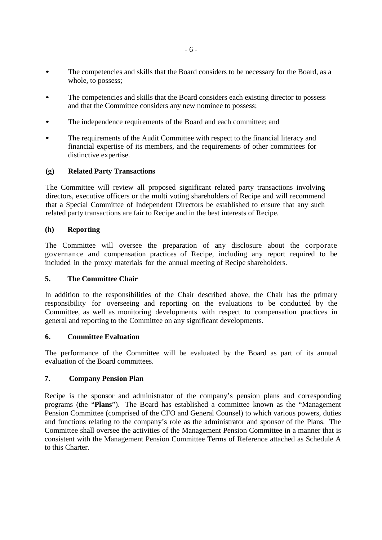- The competencies and skills that the Board considers to be necessary for the Board, as a whole, to possess;
- The competencies and skills that the Board considers each existing director to possess and that the Committee considers any new nominee to possess;
- The independence requirements of the Board and each committee; and
- The requirements of the Audit Committee with respect to the financial literacy and financial expertise of its members, and the requirements of other committees for distinctive expertise.

# **(g) Related Party Transactions**

The Committee will review all proposed significant related party transactions involving directors, executive officers or the multi voting shareholders of Recipe and will recommend that a Special Committee of Independent Directors be established to ensure that any such related party transactions are fair to Recipe and in the best interests of Recipe.

#### **(h) Reporting**

The Committee will oversee the preparation of any disclosure about the corporate governance and compensation practices of Recipe, including any report required to be included in the proxy materials for the annual meeting of Recipe shareholders.

#### **5. The Committee Chair**

In addition to the responsibilities of the Chair described above, the Chair has the primary responsibility for overseeing and reporting on the evaluations to be conducted by the Committee, as well as monitoring developments with respect to compensation practices in general and reporting to the Committee on any significant developments.

# **6. Committee Evaluation**

The performance of the Committee will be evaluated by the Board as part of its annual evaluation of the Board committees.

#### **7. Company Pension Plan**

Recipe is the sponsor and administrator of the company's pension plans and corresponding programs (the "**Plans**"). The Board has established a committee known as the "Management Pension Committee (comprised of the CFO and General Counsel) to which various powers, duties and functions relating to the company's role as the administrator and sponsor of the Plans. The Committee shall oversee the activities of the Management Pension Committee in a manner that is consistent with the Management Pension Committee Terms of Reference attached as Schedule A to this Charter.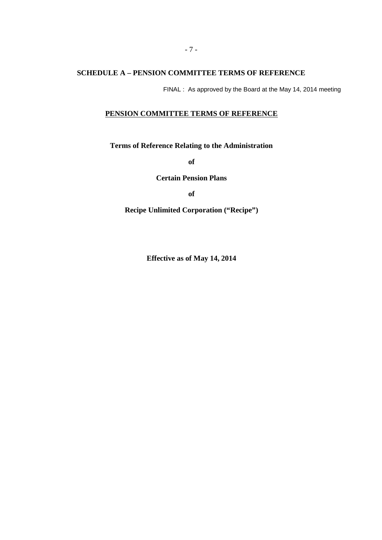#### **SCHEDULE A – PENSION COMMITTEE TERMS OF REFERENCE**

FINAL : As approved by the Board at the May 14, 2014 meeting

# **PENSION COMMITTEE TERMS OF REFERENCE**

**Terms of Reference Relating to the Administration**

**of**

**Certain Pension Plans**

**of**

**Recipe Unlimited Corporation ("Recipe")**

**Effective as of May 14, 2014**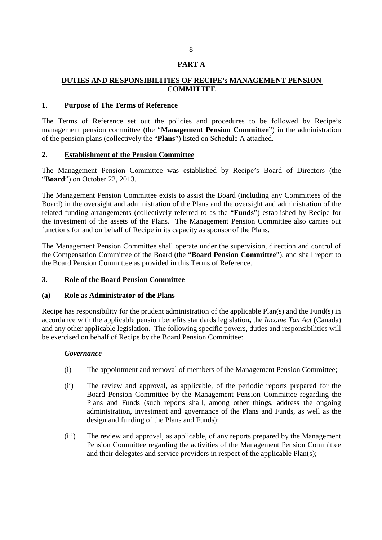# **PART A**

# **DUTIES AND RESPONSIBILITIES OF RECIPE's MANAGEMENT PENSION COMMITTEE**

#### **1. Purpose of The Terms of Reference**

The Terms of Reference set out the policies and procedures to be followed by Recipe's management pension committee (the "**Management Pension Committee**") in the administration of the pension plans (collectively the "**Plans**") listed on Schedule A attached.

#### **2. Establishment of the Pension Committee**

The Management Pension Committee was established by Recipe's Board of Directors (the "**Board**") on October 22, 2013.

The Management Pension Committee exists to assist the Board (including any Committees of the Board) in the oversight and administration of the Plans and the oversight and administration of the related funding arrangements (collectively referred to as the "**Funds**") established by Recipe for the investment of the assets of the Plans. The Management Pension Committee also carries out functions for and on behalf of Recipe in its capacity as sponsor of the Plans.

The Management Pension Committee shall operate under the supervision, direction and control of the Compensation Committee of the Board (the "**Board Pension Committee**"), and shall report to the Board Pension Committee as provided in this Terms of Reference.

# **3. Role of the Board Pension Committee**

# **(a) Role as Administrator of the Plans**

Recipe has responsibility for the prudent administration of the applicable Plan(s) and the Fund(s) in accordance with the applicable pension benefits standards legislation**,** the *Income Tax Act* (Canada) and any other applicable legislation. The following specific powers, duties and responsibilities will be exercised on behalf of Recipe by the Board Pension Committee:

# *Governance*

- (i) The appointment and removal of members of the Management Pension Committee;
- (ii) The review and approval, as applicable, of the periodic reports prepared for the Board Pension Committee by the Management Pension Committee regarding the Plans and Funds (such reports shall, among other things, address the ongoing administration, investment and governance of the Plans and Funds, as well as the design and funding of the Plans and Funds);
- (iii) The review and approval, as applicable, of any reports prepared by the Management Pension Committee regarding the activities of the Management Pension Committee and their delegates and service providers in respect of the applicable Plan(s);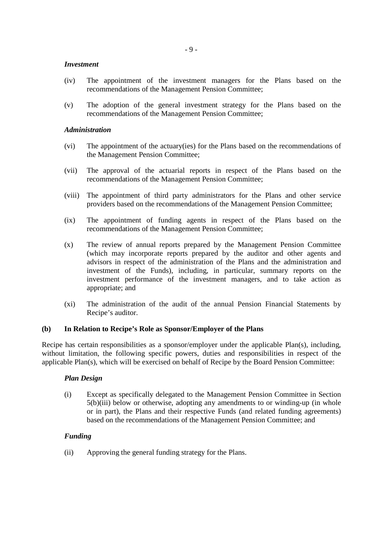#### *Investment*

- (iv) The appointment of the investment managers for the Plans based on the recommendations of the Management Pension Committee;
- (v) The adoption of the general investment strategy for the Plans based on the recommendations of the Management Pension Committee;

#### *Administration*

- (vi) The appointment of the actuary(ies) for the Plans based on the recommendations of the Management Pension Committee;
- (vii) The approval of the actuarial reports in respect of the Plans based on the recommendations of the Management Pension Committee;
- (viii) The appointment of third party administrators for the Plans and other service providers based on the recommendations of the Management Pension Committee;
- (ix) The appointment of funding agents in respect of the Plans based on the recommendations of the Management Pension Committee;
- (x) The review of annual reports prepared by the Management Pension Committee (which may incorporate reports prepared by the auditor and other agents and advisors in respect of the administration of the Plans and the administration and investment of the Funds), including, in particular, summary reports on the investment performance of the investment managers, and to take action as appropriate; and
- (xi) The administration of the audit of the annual Pension Financial Statements by Recipe's auditor.

#### **(b) In Relation to Recipe's Role as Sponsor/Employer of the Plans**

Recipe has certain responsibilities as a sponsor/employer under the applicable Plan(s), including, without limitation, the following specific powers, duties and responsibilities in respect of the applicable Plan(s), which will be exercised on behalf of Recipe by the Board Pension Committee:

#### *Plan Design*

(i) Except as specifically delegated to the Management Pension Committee in Section 5(b)(iii) below or otherwise, adopting any amendments to or winding-up (in whole or in part), the Plans and their respective Funds (and related funding agreements) based on the recommendations of the Management Pension Committee; and

# *Funding*

(ii) Approving the general funding strategy for the Plans.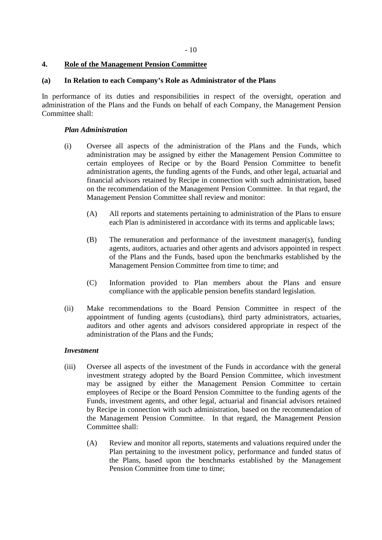#### **4. Role of the Management Pension Committee**

#### **(a) In Relation to each Company's Role as Administrator of the Plans**

In performance of its duties and responsibilities in respect of the oversight, operation and administration of the Plans and the Funds on behalf of each Company, the Management Pension Committee shall:

#### *Plan Administration*

- (i) Oversee all aspects of the administration of the Plans and the Funds, which administration may be assigned by either the Management Pension Committee to certain employees of Recipe or by the Board Pension Committee to benefit administration agents, the funding agents of the Funds, and other legal, actuarial and financial advisors retained by Recipe in connection with such administration, based on the recommendation of the Management Pension Committee. In that regard, the Management Pension Committee shall review and monitor:
	- (A) All reports and statements pertaining to administration of the Plans to ensure each Plan is administered in accordance with its terms and applicable laws;
	- (B) The remuneration and performance of the investment manager(s), funding agents, auditors, actuaries and other agents and advisors appointed in respect of the Plans and the Funds, based upon the benchmarks established by the Management Pension Committee from time to time; and
	- (C) Information provided to Plan members about the Plans and ensure compliance with the applicable pension benefits standard legislation.
- (ii) Make recommendations to the Board Pension Committee in respect of the appointment of funding agents (custodians), third party administrators, actuaries, auditors and other agents and advisors considered appropriate in respect of the administration of the Plans and the Funds;

#### *Investment*

- (iii) Oversee all aspects of the investment of the Funds in accordance with the general investment strategy adopted by the Board Pension Committee, which investment may be assigned by either the Management Pension Committee to certain employees of Recipe or the Board Pension Committee to the funding agents of the Funds, investment agents, and other legal, actuarial and financial advisors retained by Recipe in connection with such administration, based on the recommendation of the Management Pension Committee. In that regard, the Management Pension Committee shall:
	- (A) Review and monitor all reports, statements and valuations required under the Plan pertaining to the investment policy, performance and funded status of the Plans, based upon the benchmarks established by the Management Pension Committee from time to time: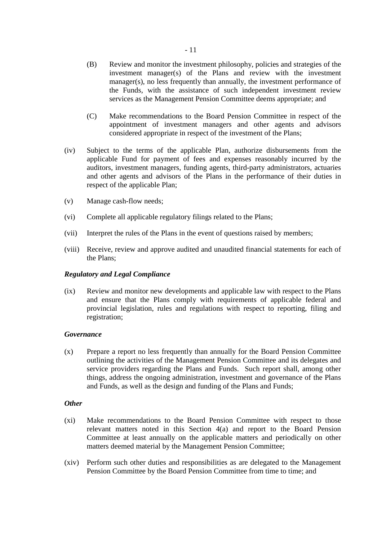- (C) Make recommendations to the Board Pension Committee in respect of the appointment of investment managers and other agents and advisors considered appropriate in respect of the investment of the Plans;
- (iv) Subject to the terms of the applicable Plan, authorize disbursements from the applicable Fund for payment of fees and expenses reasonably incurred by the auditors, investment managers, funding agents, third-party administrators, actuaries and other agents and advisors of the Plans in the performance of their duties in respect of the applicable Plan;
- (v) Manage cash-flow needs;
- (vi) Complete all applicable regulatory filings related to the Plans;
- (vii) Interpret the rules of the Plans in the event of questions raised by members;
- (viii) Receive, review and approve audited and unaudited financial statements for each of the Plans;

#### *Regulatory and Legal Compliance*

(ix) Review and monitor new developments and applicable law with respect to the Plans and ensure that the Plans comply with requirements of applicable federal and provincial legislation, rules and regulations with respect to reporting, filing and registration;

#### *Governance*

(x) Prepare a report no less frequently than annually for the Board Pension Committee outlining the activities of the Management Pension Committee and its delegates and service providers regarding the Plans and Funds. Such report shall, among other things, address the ongoing administration, investment and governance of the Plans and Funds, as well as the design and funding of the Plans and Funds;

#### *Other*

- (xi) Make recommendations to the Board Pension Committee with respect to those relevant matters noted in this Section 4(a) and report to the Board Pension Committee at least annually on the applicable matters and periodically on other matters deemed material by the Management Pension Committee;
- (xiv) Perform such other duties and responsibilities as are delegated to the Management Pension Committee by the Board Pension Committee from time to time; and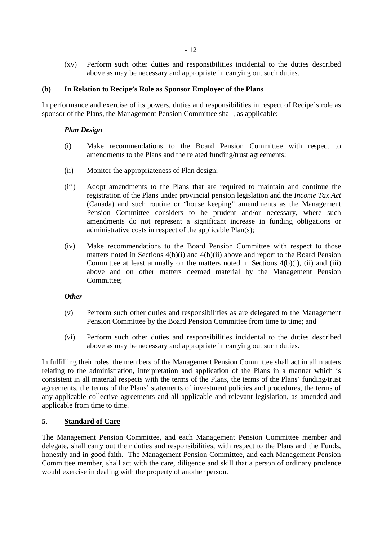(xv) Perform such other duties and responsibilities incidental to the duties described above as may be necessary and appropriate in carrying out such duties.

### **(b) In Relation to Recipe's Role as Sponsor Employer of the Plans**

In performance and exercise of its powers, duties and responsibilities in respect of Recipe's role as sponsor of the Plans, the Management Pension Committee shall, as applicable:

#### *Plan Design*

- (i) Make recommendations to the Board Pension Committee with respect to amendments to the Plans and the related funding/trust agreements;
- (ii) Monitor the appropriateness of Plan design;
- (iii) Adopt amendments to the Plans that are required to maintain and continue the registration of the Plans under provincial pension legislation and the *Income Tax Act* (Canada) and such routine or "house keeping" amendments as the Management Pension Committee considers to be prudent and/or necessary, where such amendments do not represent a significant increase in funding obligations or administrative costs in respect of the applicable Plan(s);
- (iv) Make recommendations to the Board Pension Committee with respect to those matters noted in Sections 4(b)(i) and 4(b)(ii) above and report to the Board Pension Committee at least annually on the matters noted in Sections 4(b)(i), (ii) and (iii) above and on other matters deemed material by the Management Pension Committee;

#### *Other*

- (v) Perform such other duties and responsibilities as are delegated to the Management Pension Committee by the Board Pension Committee from time to time; and
- (vi) Perform such other duties and responsibilities incidental to the duties described above as may be necessary and appropriate in carrying out such duties.

In fulfilling their roles, the members of the Management Pension Committee shall act in all matters relating to the administration, interpretation and application of the Plans in a manner which is consistent in all material respects with the terms of the Plans, the terms of the Plans' funding/trust agreements, the terms of the Plans' statements of investment policies and procedures, the terms of any applicable collective agreements and all applicable and relevant legislation, as amended and applicable from time to time.

# **5. Standard of Care**

The Management Pension Committee, and each Management Pension Committee member and delegate, shall carry out their duties and responsibilities, with respect to the Plans and the Funds, honestly and in good faith. The Management Pension Committee, and each Management Pension Committee member, shall act with the care, diligence and skill that a person of ordinary prudence would exercise in dealing with the property of another person.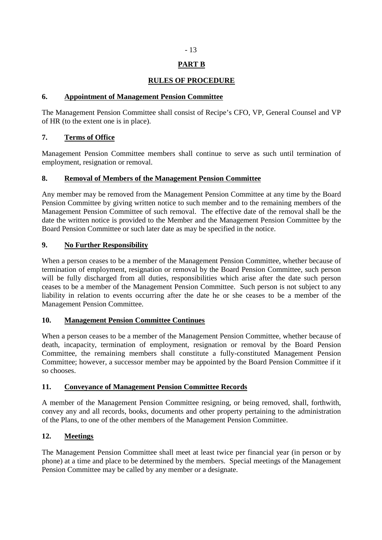#### - **PART B**

# **RULES OF PROCEDURE**

### **6. Appointment of Management Pension Committee**

The Management Pension Committee shall consist of Recipe's CFO, VP, General Counsel and VP of HR (to the extent one is in place).

# **7. Terms of Office**

Management Pension Committee members shall continue to serve as such until termination of employment, resignation or removal.

# **8. Removal of Members of the Management Pension Committee**

Any member may be removed from the Management Pension Committee at any time by the Board Pension Committee by giving written notice to such member and to the remaining members of the Management Pension Committee of such removal. The effective date of the removal shall be the date the written notice is provided to the Member and the Management Pension Committee by the Board Pension Committee or such later date as may be specified in the notice.

# **9. No Further Responsibility**

When a person ceases to be a member of the Management Pension Committee, whether because of termination of employment, resignation or removal by the Board Pension Committee, such person will be fully discharged from all duties, responsibilities which arise after the date such person ceases to be a member of the Management Pension Committee. Such person is not subject to any liability in relation to events occurring after the date he or she ceases to be a member of the Management Pension Committee.

# **10. Management Pension Committee Continues**

When a person ceases to be a member of the Management Pension Committee, whether because of death, incapacity, termination of employment, resignation or removal by the Board Pension Committee, the remaining members shall constitute a fully-constituted Management Pension Committee; however, a successor member may be appointed by the Board Pension Committee if it so chooses.

# **11. Conveyance of Management Pension Committee Records**

A member of the Management Pension Committee resigning, or being removed, shall, forthwith, convey any and all records, books, documents and other property pertaining to the administration of the Plans, to one of the other members of the Management Pension Committee.

# **12. Meetings**

The Management Pension Committee shall meet at least twice per financial year (in person or by phone) at a time and place to be determined by the members. Special meetings of the Management Pension Committee may be called by any member or a designate.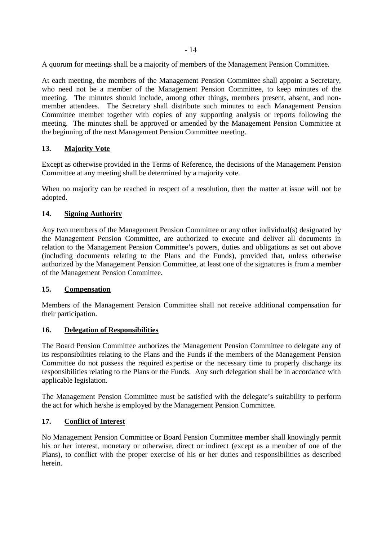A quorum for meetings shall be a majority of members of the Management Pension Committee.

At each meeting, the members of the Management Pension Committee shall appoint a Secretary, who need not be a member of the Management Pension Committee, to keep minutes of the meeting. The minutes should include, among other things, members present, absent, and nonmember attendees. The Secretary shall distribute such minutes to each Management Pension Committee member together with copies of any supporting analysis or reports following the meeting. The minutes shall be approved or amended by the Management Pension Committee at the beginning of the next Management Pension Committee meeting.

# **13. Majority Vote**

Except as otherwise provided in the Terms of Reference, the decisions of the Management Pension Committee at any meeting shall be determined by a majority vote.

When no majority can be reached in respect of a resolution, then the matter at issue will not be adopted.

# **14. Signing Authority**

Any two members of the Management Pension Committee or any other individual(s) designated by the Management Pension Committee, are authorized to execute and deliver all documents in relation to the Management Pension Committee's powers, duties and obligations as set out above (including documents relating to the Plans and the Funds), provided that, unless otherwise authorized by the Management Pension Committee, at least one of the signatures is from a member of the Management Pension Committee.

#### **15. Compensation**

Members of the Management Pension Committee shall not receive additional compensation for their participation.

# **16. Delegation of Responsibilities**

The Board Pension Committee authorizes the Management Pension Committee to delegate any of its responsibilities relating to the Plans and the Funds if the members of the Management Pension Committee do not possess the required expertise or the necessary time to properly discharge its responsibilities relating to the Plans or the Funds. Any such delegation shall be in accordance with applicable legislation.

The Management Pension Committee must be satisfied with the delegate's suitability to perform the act for which he/she is employed by the Management Pension Committee.

# **17. Conflict of Interest**

No Management Pension Committee or Board Pension Committee member shall knowingly permit his or her interest, monetary or otherwise, direct or indirect (except as a member of one of the Plans), to conflict with the proper exercise of his or her duties and responsibilities as described herein.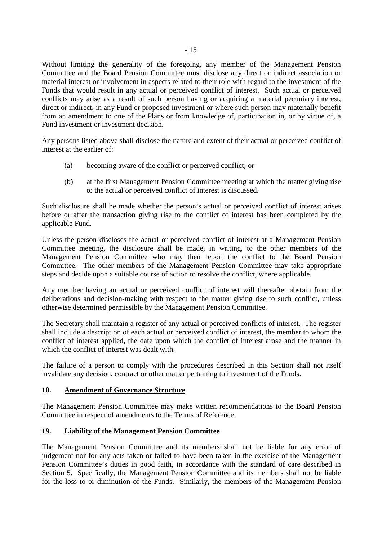Without limiting the generality of the foregoing, any member of the Management Pension Committee and the Board Pension Committee must disclose any direct or indirect association or material interest or involvement in aspects related to their role with regard to the investment of the Funds that would result in any actual or perceived conflict of interest. Such actual or perceived conflicts may arise as a result of such person having or acquiring a material pecuniary interest, direct or indirect, in any Fund or proposed investment or where such person may materially benefit from an amendment to one of the Plans or from knowledge of, participation in, or by virtue of, a Fund investment or investment decision.

Any persons listed above shall disclose the nature and extent of their actual or perceived conflict of interest at the earlier of:

- (a) becoming aware of the conflict or perceived conflict; or
- (b) at the first Management Pension Committee meeting at which the matter giving rise to the actual or perceived conflict of interest is discussed.

Such disclosure shall be made whether the person's actual or perceived conflict of interest arises before or after the transaction giving rise to the conflict of interest has been completed by the applicable Fund.

Unless the person discloses the actual or perceived conflict of interest at a Management Pension Committee meeting, the disclosure shall be made, in writing, to the other members of the Management Pension Committee who may then report the conflict to the Board Pension Committee. The other members of the Management Pension Committee may take appropriate steps and decide upon a suitable course of action to resolve the conflict, where applicable.

Any member having an actual or perceived conflict of interest will thereafter abstain from the deliberations and decision-making with respect to the matter giving rise to such conflict, unless otherwise determined permissible by the Management Pension Committee.

The Secretary shall maintain a register of any actual or perceived conflicts of interest. The register shall include a description of each actual or perceived conflict of interest, the member to whom the conflict of interest applied, the date upon which the conflict of interest arose and the manner in which the conflict of interest was dealt with.

The failure of a person to comply with the procedures described in this Section shall not itself invalidate any decision, contract or other matter pertaining to investment of the Funds.

# **18. Amendment of Governance Structure**

The Management Pension Committee may make written recommendations to the Board Pension Committee in respect of amendments to the Terms of Reference.

# **19. Liability of the Management Pension Committee**

The Management Pension Committee and its members shall not be liable for any error of judgement nor for any acts taken or failed to have been taken in the exercise of the Management Pension Committee's duties in good faith, in accordance with the standard of care described in Section 5. Specifically, the Management Pension Committee and its members shall not be liable for the loss to or diminution of the Funds. Similarly, the members of the Management Pension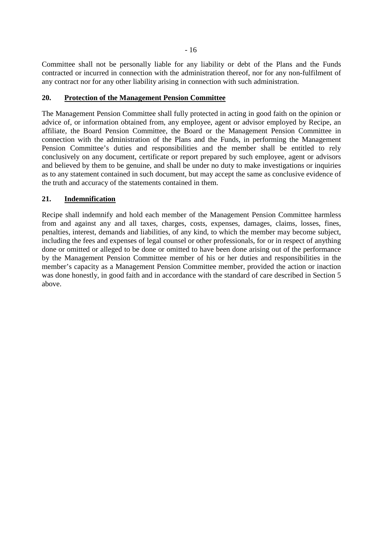Committee shall not be personally liable for any liability or debt of the Plans and the Funds contracted or incurred in connection with the administration thereof, nor for any non-fulfilment of any contract nor for any other liability arising in connection with such administration.

# **20. Protection of the Management Pension Committee**

The Management Pension Committee shall fully protected in acting in good faith on the opinion or advice of, or information obtained from, any employee, agent or advisor employed by Recipe, an affiliate, the Board Pension Committee, the Board or the Management Pension Committee in connection with the administration of the Plans and the Funds, in performing the Management Pension Committee's duties and responsibilities and the member shall be entitled to rely conclusively on any document, certificate or report prepared by such employee, agent or advisors and believed by them to be genuine, and shall be under no duty to make investigations or inquiries as to any statement contained in such document, but may accept the same as conclusive evidence of the truth and accuracy of the statements contained in them.

# **21. Indemnification**

Recipe shall indemnify and hold each member of the Management Pension Committee harmless from and against any and all taxes, charges, costs, expenses, damages, claims, losses, fines, penalties, interest, demands and liabilities, of any kind, to which the member may become subject, including the fees and expenses of legal counsel or other professionals, for or in respect of anything done or omitted or alleged to be done or omitted to have been done arising out of the performance by the Management Pension Committee member of his or her duties and responsibilities in the member's capacity as a Management Pension Committee member, provided the action or inaction was done honestly, in good faith and in accordance with the standard of care described in Section 5 above.